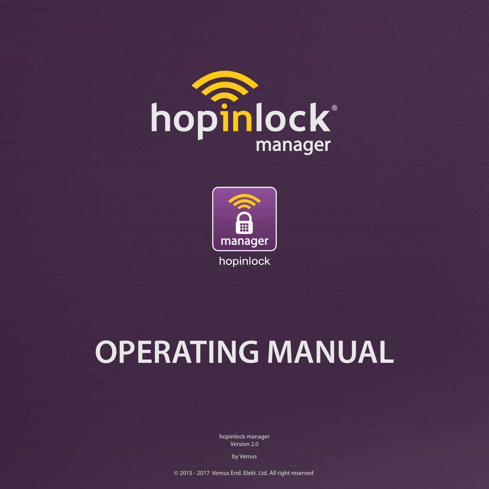



# **OPERATING MANUAL**

hopinlock manager Version 2.0

by Vemus

© 2015 - 2017 Vemus End. Elekt. Ltd. All right reserved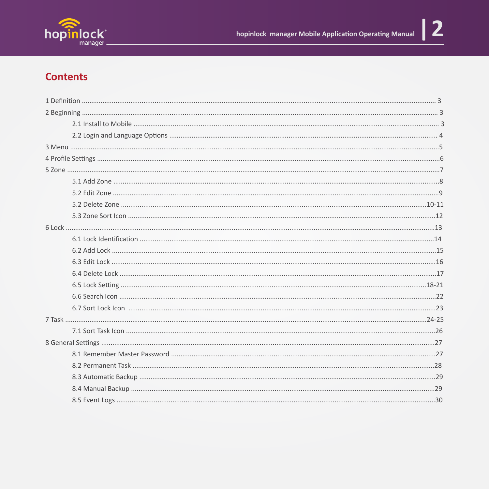

#### **Contents**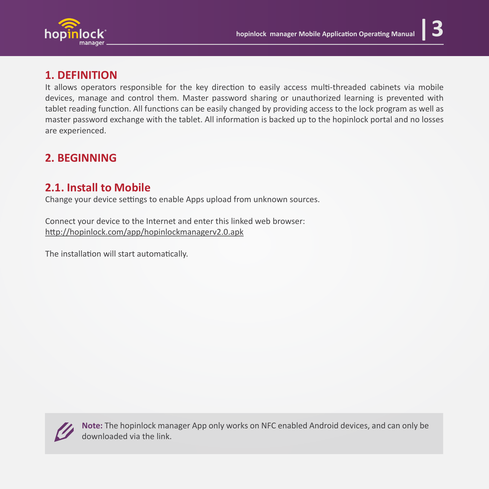

#### **1. DEFINITION**

It allows operators responsible for the key direction to easily access multi-threaded cabinets via mobile devices, manage and control them. Master password sharing or unauthorized learning is prevented with tablet reading function. All functions can be easily changed by providing access to the lock program as well as master password exchange with the tablet. All information is backed up to the hopinlock portal and no losses are experienced.

#### **2. BEGINNING**

#### **2.1. Install to Mobile**

Change your device settings to enable Apps upload from unknown sources.

Connect your device to the Internet and enter this linked web browser: h�p://hopinlock.com/app/hopinlockmanagerv2.0.apk

The installation will start automatically.



**Note:** The hopinlock manager App only works on NFC enabled Android devices, and can only be downloaded via the link.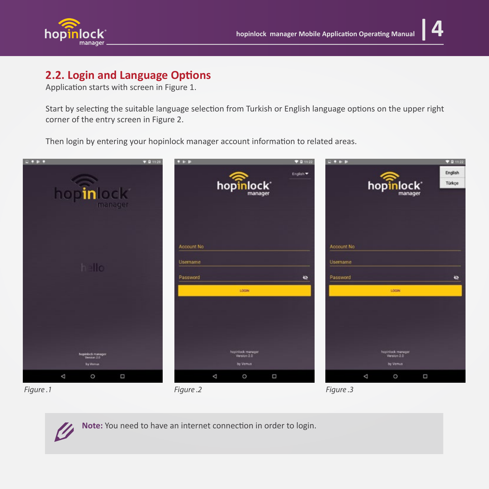

#### **2.2. Login and Language Options**

Application starts with screen in Figure 1.

Start by selecting the suitable language selection from Turkish or English language options on the upper right corner of the entry screen in Figure 2.

Then login by entering your hopinlock manager account information to related areas.





Note: You need to have an internet connection in order to login.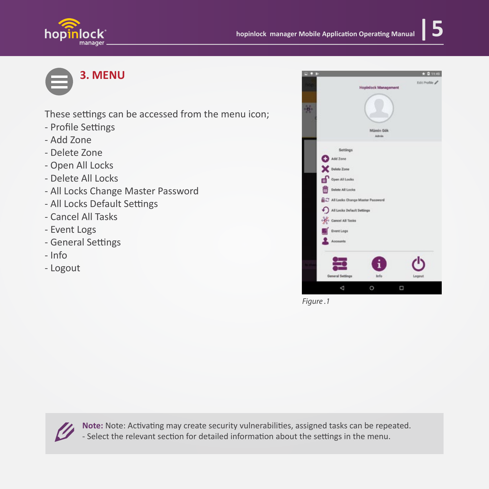





These settings can be accessed from the menu icon;

- Profile Settings
- Add Zone
- Delete Zone
- Open All Locks
- Delete All Locks
- All Locks Change Master Password
- All Locks Default Settings
- Cancel All Tasks
- Event Logs
- General Settings
- Info
- Logout



*Figure .1*



Note: Note: Activating may create security vulnerabilities, assigned tasks can be repeated. - Select the relevant section for detailed information about the settings in the menu.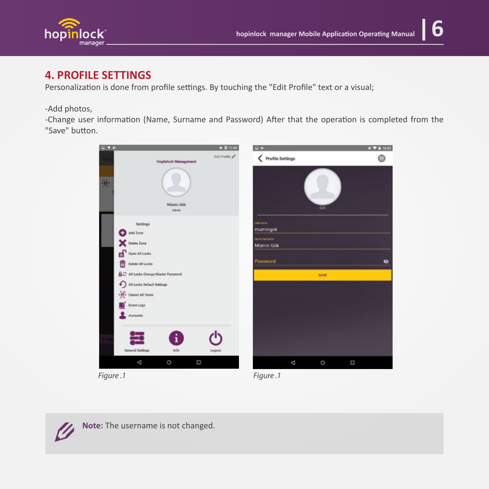

#### **4. PROFILE SETTINGS**

Personalization is done from profile settings. By touching the "Edit Profile" text or a visual;

#### -Add photos,

-Change user information (Name, Surname and Password) After that the operation is completed from the "Save" button.





Note: The username is not changed.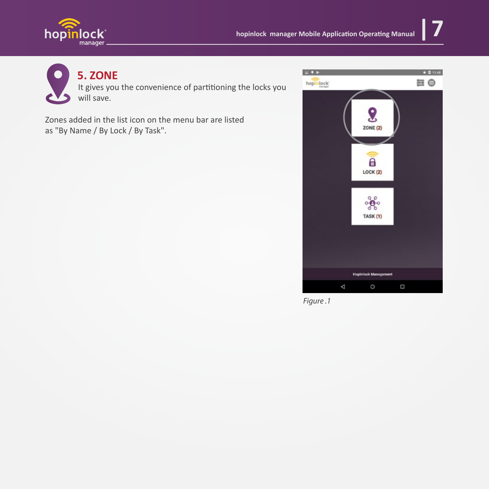



#### **5. ZONE**

It gives you the convenience of partitioning the locks you will save.

Zones added in the list icon on the menu bar are listed as "By Name / By Lock / By Task".



*Figure .1*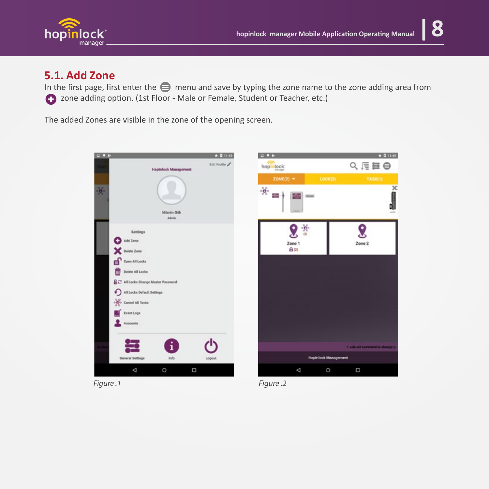



#### **5.1. Add Zone**

In the first page, first enter the  $\bigoplus$  menu and save by typing the zone name to the zone adding area from  $\bigodot$  zone adding option. (1st Floor - Male or Female, Student or Teacher, etc.)

The added Zones are visible in the zone of the opening screen.

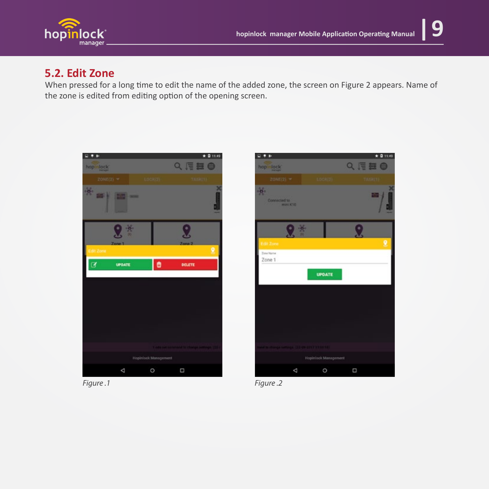

#### **5.2. Edit Zone**

When pressed for a long time to edit the name of the added zone, the screen on Figure 2 appears. Name of the zone is edited from editing option of the opening screen.



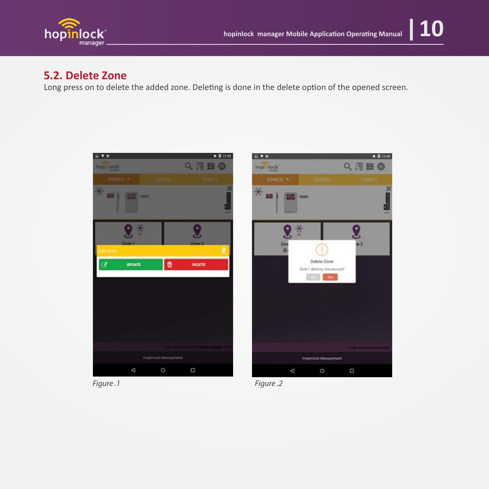

#### **5.2. Delete Zone**

Long press on to delete the added zone. Deleting is done in the delete option of the opened screen.

 $\Box + \nu$ 

hop lock





 $★ 0.1149$ 

Q、信器●

*Figure .1 Figure .2*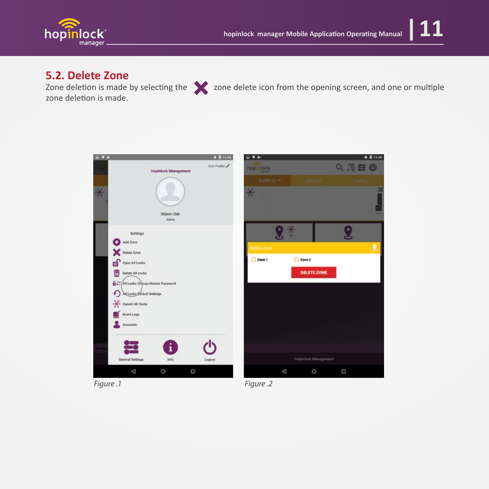

zone deletion is made.



Zone deletion is made by selecting the  $\blacktriangleright$  zone delete icon from the opening screen, and one or multiple

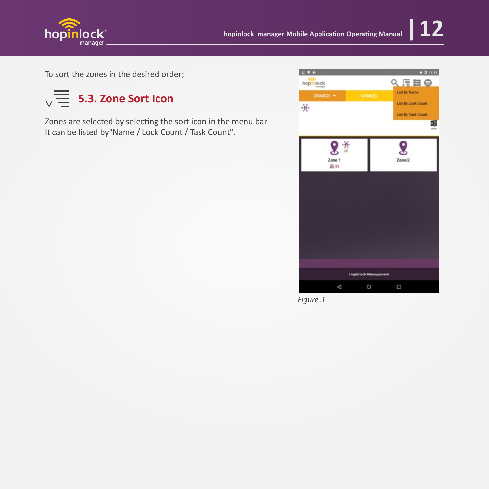

To sort the zones in the desired order;



Zones are selected by selecting the sort icon in the menu bar It can be listed by"Name / Lock Count / Task Count".



*Figure .1*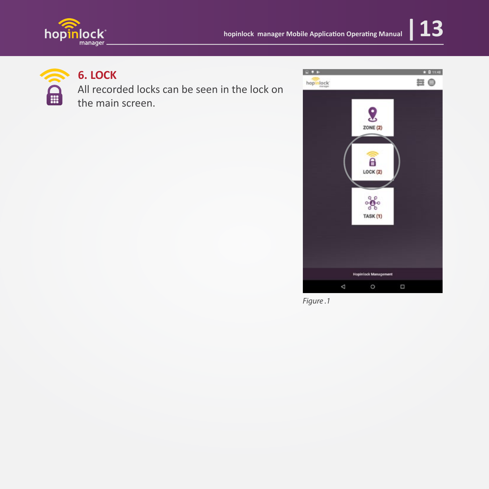





### **6. LOCK**

All recorded locks can be seen in the lock on<br>the main screen the main screen.



*Figure .1*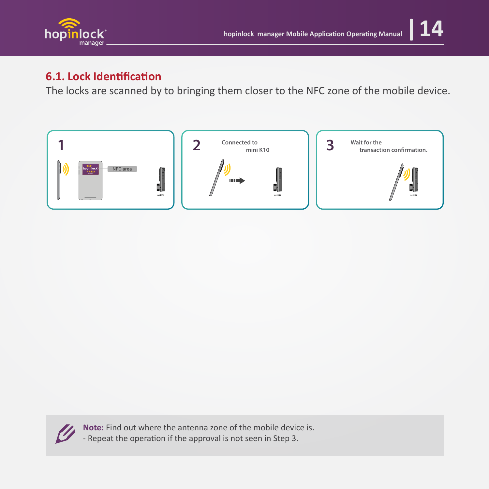

#### **6.1. Lock Identification**

The locks are scanned by to bringing them closer to the NFC zone of the mobile device.





**Note:** Find out where the antenna zone of the mobile device is. - Repeat the operation if the approval is not seen in Step 3.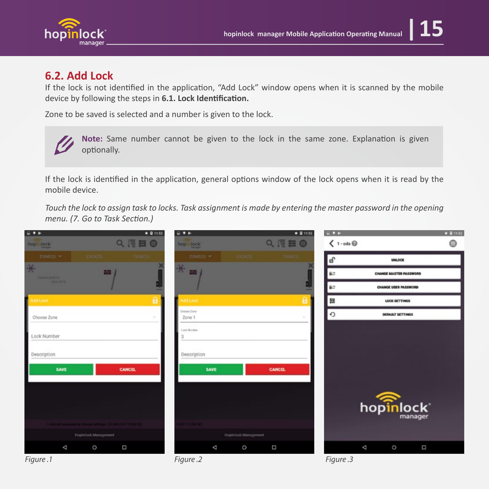

#### **6.2. Add Lock**

If the lock is not identified in the application, "Add Lock" window opens when it is scanned by the mobile device by following the steps in **6.1. Lock Identification.** 

Zone to be saved is selected and a number is given to the lock.



Note: Same number cannot be given to the lock in the same zone. Explanation is given optionally.

If the lock is identified in the application, general options window of the lock opens when it is read by the mobile device.

*Touch the lock to assign task to locks. Task assignment is made by entering the master password in the opening menu. (7. Go to Task Section.)*

| $\Box + P$                     |                                                                | ★ 日11:52      | $\Box + P$            |                      | ★ 11152        | $\frac{1}{2}$                        |                        | $* 21152$ |
|--------------------------------|----------------------------------------------------------------|---------------|-----------------------|----------------------|----------------|--------------------------------------|------------------------|-----------|
| hop lock                       |                                                                | Q、信每●         | hop lock              |                      | Q月日日           | $\langle 1 - \text{odd } \mathbb{Q}$ |                        | ⊜         |
| 2010年(2) =                     | <b>LOCKER TASKET</b>                                           |               | 20NE(2) =             |                      | LOCKER TASKET) | (dî                                  | <b>UNLOCK</b>          |           |
| ဖွဲ့<br>Connected to:          |                                                                |               |                       |                      |                | 80                                   | CHANGE MASTER PASSWORD |           |
| <b>International Adventure</b> |                                                                |               |                       |                      |                | ŵЗ.                                  | CHANGE USER PASSWORD   |           |
| п<br>dd Lock                   |                                                                | $\theta$      | <b>Idd Lock</b>       |                      | θ              | 舞                                    | <b>LOCK SETTINGS</b>   |           |
| Choose Zone                    |                                                                |               | Choose Zone<br>Zone 1 |                      |                | Ð                                    | DEFAULT SETTINGS       |           |
| Lock Number                    |                                                                |               | Lock Number           |                      |                |                                      |                        |           |
| Description                    |                                                                |               | Description           |                      |                |                                      |                        |           |
| SAVE                           |                                                                | <b>CANCEL</b> | SAVE                  |                      | CANCEL         |                                      |                        |           |
|                                | and a net command bi change nettings, (22 div 2217 31 list 18) |               | <b>CARL ME TWO</b>    |                      |                |                                      | hopinlock*             |           |
| Hopinlock Management           |                                                                |               |                       | Hopinlock Management |                |                                      |                        |           |
| Δ                              | $\circ$                                                        | Ω             | Δ                     | $\circ$              | Ω              |                                      | Δ<br>$\circ$           | O         |
| Figure.1                       |                                                                |               | Figure .2             |                      |                | Figure .3                            |                        |           |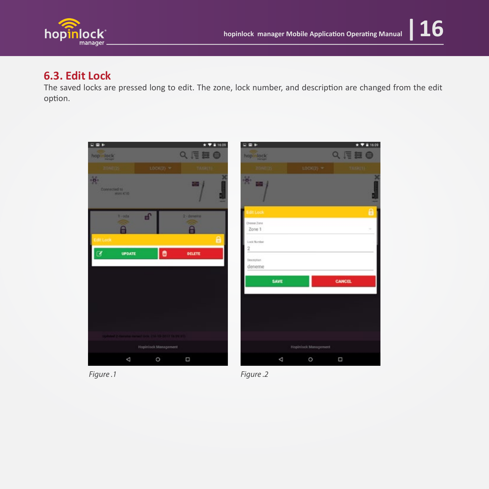

#### **6.3. Edit Lock**

The saved locks are pressed long to edit. The zone, lock number, and description are changed from the edit option.



*Figure .1 Figure .2*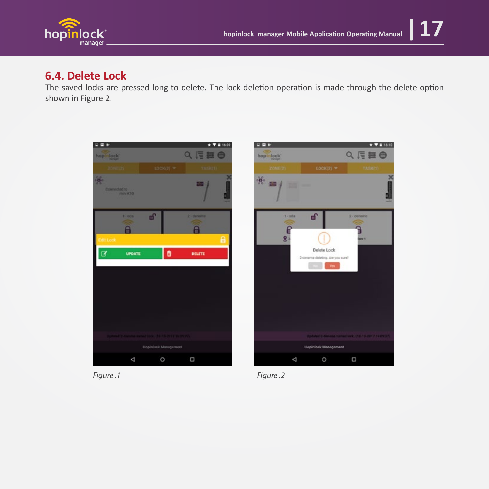

#### **6.4. Delete Lock**

The saved locks are pressed long to delete. The lock deletion operation is made through the delete option shown in Figure 2.





*Figure .1 Figure .2*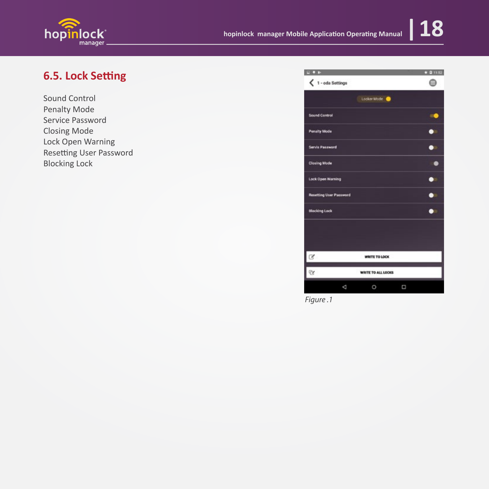

### **6.5. Lock Setting**

Sound Control Penalty Mode Service Password Closing Mode Lock Open Warning Resetting User Password Blocking Lock

| $\frac{1}{2}$                                                     |                    |   | ★ 日 11.52 |
|-------------------------------------------------------------------|--------------------|---|-----------|
| $\langle 1 - \text{oda Settings}$                                 |                    |   | Â         |
|                                                                   | Locker Mode        |   |           |
| <b>Sound Control</b>                                              |                    |   |           |
| <b>Penalty Mode</b>                                               |                    |   |           |
| <b>Servis Password</b>                                            |                    |   |           |
| <b>Closing Mode</b>                                               |                    |   |           |
| <b>Lock Open Warning</b>                                          |                    |   |           |
| <b>Resetting User Password</b>                                    |                    |   |           |
| <b>Blocking Lock</b>                                              |                    |   |           |
|                                                                   |                    |   |           |
|                                                                   |                    |   |           |
|                                                                   | WRITE TO LOCK      |   |           |
| $\begin{array}{ c c } \hline \mathbb{Q} & \mathbb{Q} \end{array}$ | WRITE TO ALL LOCKS |   |           |
| ◁                                                                 | O                  | Ω |           |

*Figure .1*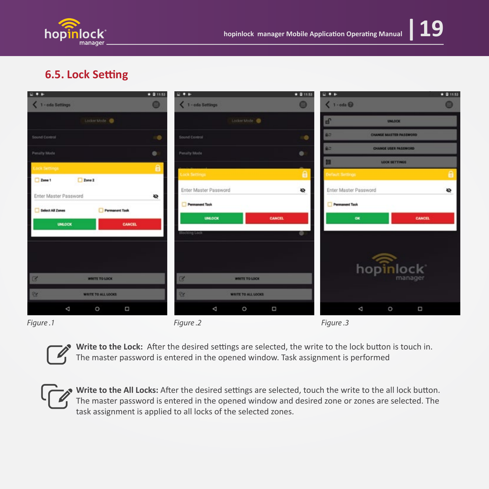

#### **6.5. Lock Setting**

| $\Box + \nu$                              | $\star$ 0 11:53 | $\Box + P$                     | $\star$ 0 11:53 | $\Box + \nu$                 |                             | ★ 2 11:53 |
|-------------------------------------------|-----------------|--------------------------------|-----------------|------------------------------|-----------------------------|-----------|
| 1 - oda Settings                          | $\bullet$       | 1 - oda Settings               | $\bullet$       | $\langle 1 - \cot \theta$    |                             | ⊜         |
| Locker Mode                               |                 | Locker Mode                    |                 | F                            | UNLOCK                      |           |
| Sound Control                             | o               | Sound Control                  | $\circ$         | 80                           | CHANGE MASTER PASSWORD      |           |
| Penalty Mode                              | $\bullet$       | Penalty Mode                   | $\circ$         | BD.                          | <b>CHANGE USER PASSWORD</b> |           |
| ock Settings                              | $\theta$        | ock Settings                   | ø               | 目<br><b>Default Settings</b> | <b>LOCK SETTINGS</b>        | $\theta$  |
| $2$ one $2$<br>Zone 1                     |                 | Enter Master Password          | $\bullet$       | Enter Master Password        |                             | $\bullet$ |
| Enter Master Password                     | ø               |                                |                 |                              |                             |           |
| <b>Select All Zones</b><br>Permanent Task |                 | <b>Permanent Tack</b>          |                 | <b>Permanent Tack</b>        |                             |           |
| <b>UNLOCK</b>                             | <b>CANCEL</b>   | <b>UNLOCK</b>                  | <b>CANCEL</b>   | <b>OK</b>                    | <b>CANCEL</b>               |           |
|                                           |                 | Blocking Lock                  | o               |                              |                             |           |
|                                           |                 |                                |                 |                              |                             |           |
|                                           |                 |                                |                 |                              | hopinlock                   |           |
| ×<br><b>WRITE TO LOCK</b>                 |                 | ø<br><b>WRITE TO LOCK</b>      |                 |                              | manager                     |           |
| <b>WRITE TO ALL LOCKS</b><br>×            |                 | ×<br><b>WRITE TO ALL LOCKS</b> |                 |                              |                             |           |
| Δ<br>Ω<br>$\circ$                         |                 | Δ<br>O                         | Δ               | Δ                            | $\circ$<br>Δ                |           |
| Figure.1                                  |                 | Figure .2                      |                 | Figure .3                    |                             |           |



Write to the Lock: After the desired settings are selected, the write to the lock button is touch in. The master password is entered in the opened window. Task assignment is performed

Write to the All Locks: After the desired settings are selected, touch the write to the all lock button. The master password is entered in the opened window and desired zone or zones are selected. The task assignment is applied to all locks of the selected zones.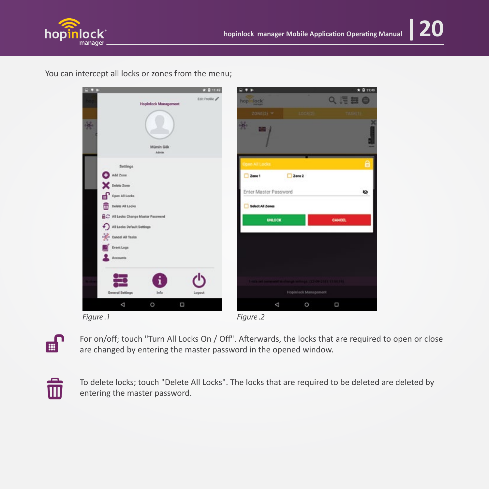

You can intercept all locks or zones from the menu;







For on/off; touch "Turn All Locks On / Off". Afterwards, the locks that are required to open or close are changed by entering the master password in the opened window.



To delete locks; touch "Delete All Locks". The locks that are required to be deleted are deleted by entering the master password.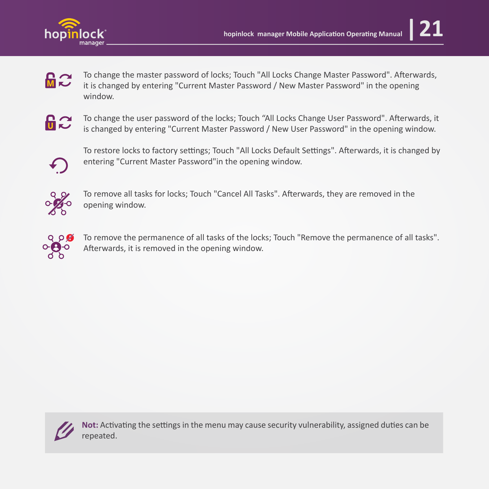

- **M<sub>2</sub>** To change the master password of locks; Touch "All Locks Change Master Password". Afterwards, it is changed by entering "Current Master Password / New Master Password" in the opening window.
- $E$

To change the user password of the locks; Touch "All Locks Change User Password". A�erwards, it is changed by entering "Current Master Password / New User Password" in the opening window.



To restore locks to factory settings; Touch "All Locks Default Settings". Afterwards, it is changed by entering "Current Master Password"in the opening window.



To remove all tasks for locks; Touch "Cancel All Tasks". Afterwards, they are removed in the opening window.



To remove the permanence of all tasks of the locks; Touch "Remove the permanence of all tasks". Afterwards, it is removed in the opening window.



Not: Activating the settings in the menu may cause security vulnerability, assigned duties can be repeated.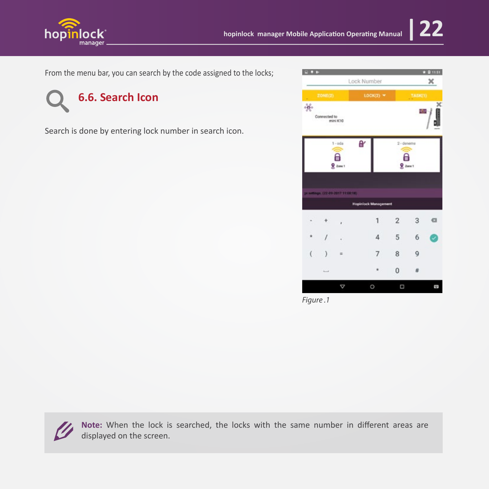

From the menu bar, you can search by the code assigned to the locks;



Search is done by entering lock number in search icon.

| <b>COL</b>          |                               |                                    |                             |                         |            | $* 21151$ |
|---------------------|-------------------------------|------------------------------------|-----------------------------|-------------------------|------------|-----------|
|                     |                               | Lock Number                        |                             |                         | ×          |           |
|                     | <b>20NE(2)</b><br>$LOCK(2)$ * |                                    |                             |                         | TASK(1)    |           |
| து                  | Connected to                  | mini K10                           |                             |                         |            | ×         |
|                     |                               | $1 - oda$<br>А<br>$Q$ Zone 1       | θŕ                          | $2 -$ deneme<br>θ       | $2$ zane 1 |           |
|                     |                               | 34 settings: (22-09-2017 11:00:18) | <b>Hopinlock Management</b> |                         |            |           |
|                     |                               | ×                                  | 1                           | $\overline{\mathbf{2}}$ | 3          | a         |
|                     |                               |                                    | 4                           | 5                       | 6          | Ч         |
| $\overline{\left(}$ | ١                             | $\equiv$                           | 7                           | 8                       | 9          |           |
|                     | <b>South A</b>                |                                    |                             | 0                       | $\#$       |           |
|                     |                               | ▽                                  | O                           | Ω                       |            |           |

*Figure .1*



**Note:** When the lock is searched, the locks with the same number in different areas are displayed on the screen.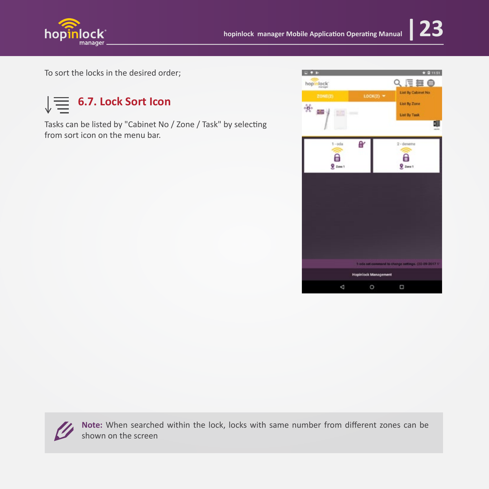

To sort the locks in the desired order;



Tasks can be listed by "Cabinet No / Zone / Task" by selecting from sort icon on the menu bar.





**Note:** When searched within the lock, locks with same number from different zones can be shown on the screen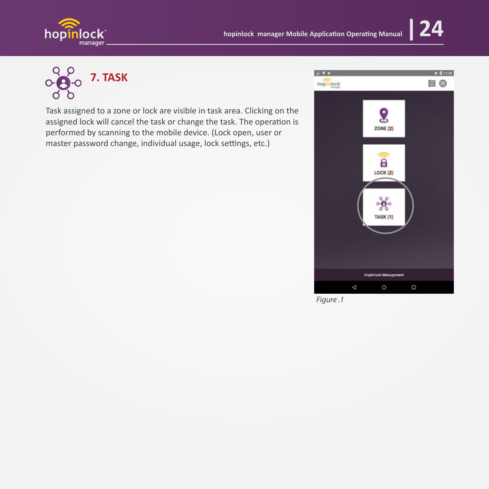



## **7. TASK**

Task assigned to a zone or lock are visible in task area. Clicking on the assigned lock will cancel the task or change the task. The operation is performed by scanning to the mobile device. (Lock open, user or master password change, individual usage, lock settings, etc.)



*Figure .1*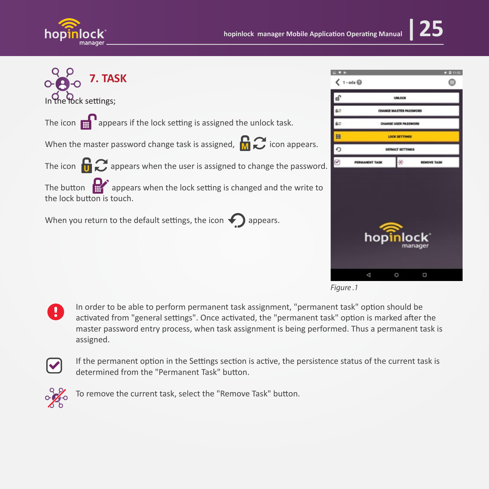



*Figure .1*

In order to be able to perform permanent task assignment, "permanent task" option should be<br>activated from "general settings". Once activated, the "permanent task" option is marked after activated from "general settings". Once activated, the "permanent task" option is marked after the master password entry process, when task assignment is being performed. Thus a permanent task is assigned.

If the permanent option in the Settings section is active, the persistence status of the current task is<br>determined from the "Permanent Task" button determined from the "Permanent Task" button.



 $\frac{1}{2}$  To remove the current task, select the "Remove Task" button.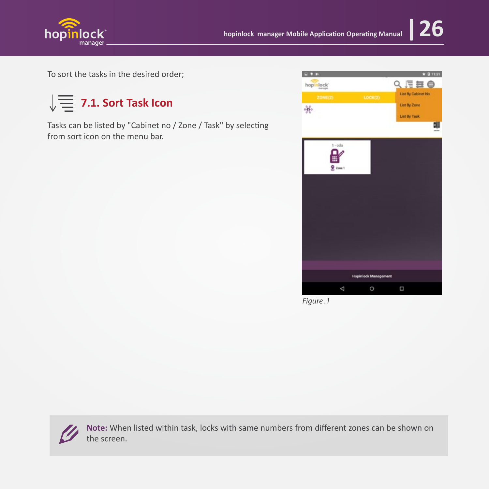

To sort the tasks in the desired order;



Tasks can be listed by "Cabinet no / Zone / Task" by selecting from sort icon on the menu bar.



*Figure .1*

**Note:** When listed within task, locks with same numbers from different zones can be shown on the screen.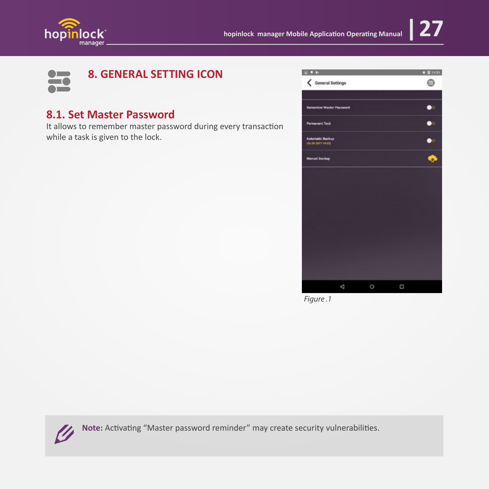



#### **8.1. Set Master Password**

It allows to remember master password during every transaction while a task is given to the lock.



*Figure .1*



Note: Activating "Master password reminder" may create security vulnerabilities.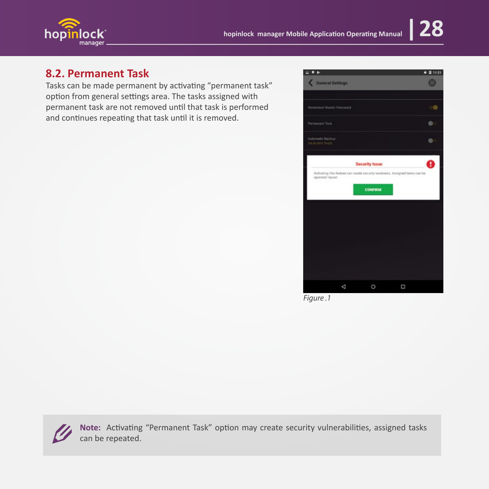



#### 8.2. Permanent Task

Tasks can be made permanent by activating "permanent task" option from general settings area. The tasks assigned with permanent task are not removed until that task is performed and continues repeating that task until it is removed.



Figure.1

Note: Activating "Permanent Task" option may create security vulnerabilities, assigned tasks can be repeated.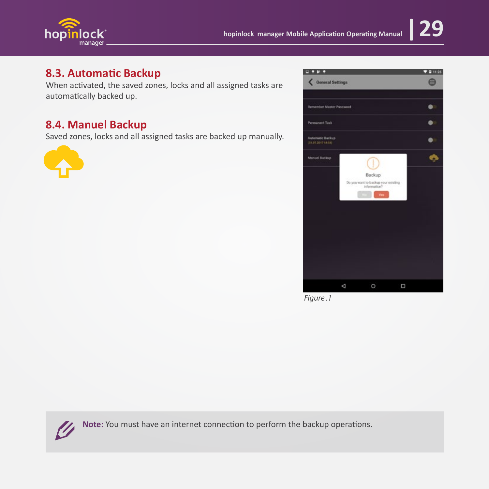

#### **8.3. Automa�c Backup**

When activated, the saved zones, locks and all assigned tasks are automatically backed up.

#### **8.4. Manuel Backup**

Saved zones, locks and all assigned tasks are backed up manually.





*Figure .1*



Note: You must have an internet connection to perform the backup operations.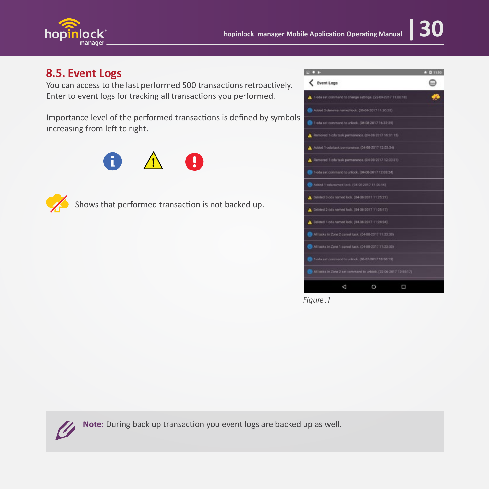

#### **8.5. Event Logs**

You can access to the last performed 500 transactions retroactively. Enter to event logs for tracking all transactions you performed.

Importance level of the performed transactions is defined by symbols increasing from left to right.





Shows that performed transaction is not backed up.

| <b>CO 6</b>                                                      | 0 11:50 |
|------------------------------------------------------------------|---------|
| Event Logs                                                       |         |
| T-oda set command to change settings. (22-09-2017 11:00:18)      |         |
| Added 2-deneme named lock. (05-09-2017 11:30:25)                 |         |
| 1-eda set command to unlook; (D4-08-2017 16:32:21)               |         |
| A Removed T-ods task permanence, (D4-D8-2017 16:31:15)           |         |
| A Added 1-oda task permanence. (04-08-2017 12:00:34)             |         |
| A Removed 1-ods task permanence. (04-08-2017 12:03:31)           |         |
| 1-oda set command to unlock, (04-08-2017 12:03:24)               |         |
| Added 1-oda named lock, (04-08-2017 11:26:14)                    |         |
| A Deleted 3-ods named lock. (04-08-2017 11:25:21)                |         |
| Littleted 2-ods named lock. (04-08-2017 11-25:17).               |         |
| Celeted 1-ods named lock. (04-08-2017 11:24:34)                  |         |
| All locks in Zone 2 cancel task, (04-08-2017 11:23:30)           |         |
| All locks in Zone 1 cancel task. (04-08-2017 11:23:30)           |         |
| 1-oda set command to unlook. (D6-07-2017 10:50:13)               |         |
| All locks in Zone 2 set command to unlock. (22-06-2017 12:55:17) |         |
| ₫<br>O<br>□                                                      |         |

*Figure .1*



Note: During back up transaction you event logs are backed up as well.